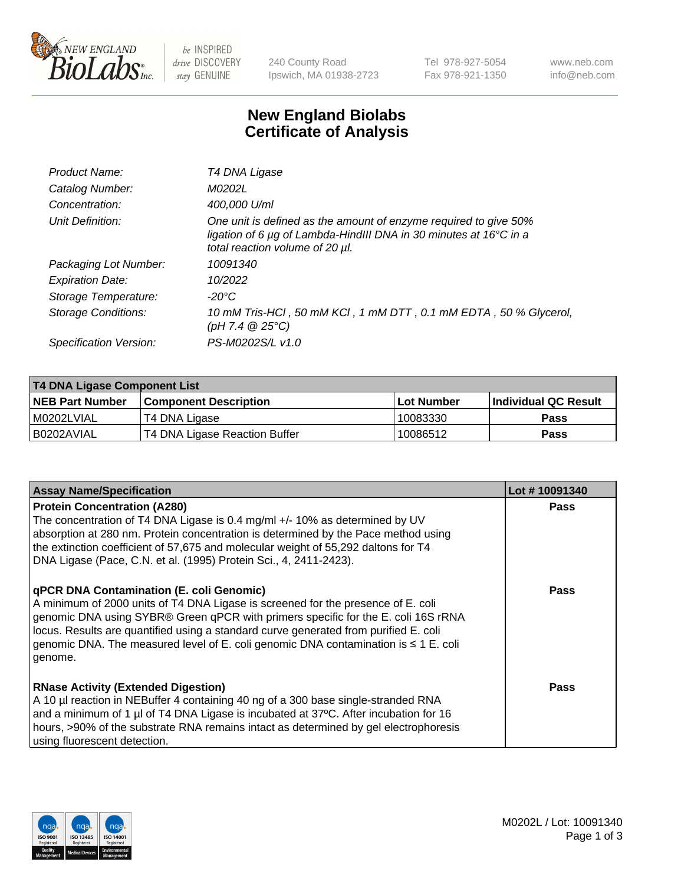

 $be$  INSPIRED drive DISCOVERY stay GENUINE

240 County Road Ipswich, MA 01938-2723 Tel 978-927-5054 Fax 978-921-1350 www.neb.com info@neb.com

## **New England Biolabs Certificate of Analysis**

| Product Name:           | T4 DNA Ligase                                                                                                                                                            |
|-------------------------|--------------------------------------------------------------------------------------------------------------------------------------------------------------------------|
| Catalog Number:         | M0202L                                                                                                                                                                   |
| Concentration:          | 400,000 U/ml                                                                                                                                                             |
| Unit Definition:        | One unit is defined as the amount of enzyme required to give 50%<br>ligation of 6 µg of Lambda-HindIII DNA in 30 minutes at 16°C in a<br>total reaction volume of 20 µl. |
| Packaging Lot Number:   | 10091340                                                                                                                                                                 |
| <b>Expiration Date:</b> | 10/2022                                                                                                                                                                  |
| Storage Temperature:    | -20°C                                                                                                                                                                    |
| Storage Conditions:     | 10 mM Tris-HCl, 50 mM KCl, 1 mM DTT, 0.1 mM EDTA, 50 % Glycerol,<br>(pH 7.4 $@25°C$ )                                                                                    |
| Specification Version:  | PS-M0202S/L v1.0                                                                                                                                                         |

| <b>T4 DNA Ligase Component List</b> |                               |            |                             |  |  |
|-------------------------------------|-------------------------------|------------|-----------------------------|--|--|
| <b>NEB Part Number</b>              | <b>Component Description</b>  | Lot Number | <b>Individual QC Result</b> |  |  |
| I M0202LVIAL                        | T4 DNA Ligase                 | 10083330   | <b>Pass</b>                 |  |  |
| I B0202AVIAL                        | T4 DNA Ligase Reaction Buffer | 10086512   | <b>Pass</b>                 |  |  |

| <b>Assay Name/Specification</b>                                                                                                                                                                                                                                                                                                                                                                             | Lot #10091340 |
|-------------------------------------------------------------------------------------------------------------------------------------------------------------------------------------------------------------------------------------------------------------------------------------------------------------------------------------------------------------------------------------------------------------|---------------|
| <b>Protein Concentration (A280)</b><br>The concentration of T4 DNA Ligase is 0.4 mg/ml +/- 10% as determined by UV<br>absorption at 280 nm. Protein concentration is determined by the Pace method using<br>the extinction coefficient of 57,675 and molecular weight of 55,292 daltons for T4<br>DNA Ligase (Pace, C.N. et al. (1995) Protein Sci., 4, 2411-2423).                                         | <b>Pass</b>   |
| qPCR DNA Contamination (E. coli Genomic)<br>A minimum of 2000 units of T4 DNA Ligase is screened for the presence of E. coli<br>genomic DNA using SYBR® Green qPCR with primers specific for the E. coli 16S rRNA<br>locus. Results are quantified using a standard curve generated from purified E. coli<br>genomic DNA. The measured level of E. coli genomic DNA contamination is ≤ 1 E. coli<br>genome. | Pass          |
| <b>RNase Activity (Extended Digestion)</b><br>A 10 µl reaction in NEBuffer 4 containing 40 ng of a 300 base single-stranded RNA<br>and a minimum of 1 µl of T4 DNA Ligase is incubated at 37°C. After incubation for 16<br>hours, >90% of the substrate RNA remains intact as determined by gel electrophoresis<br>using fluorescent detection.                                                             | Pass          |

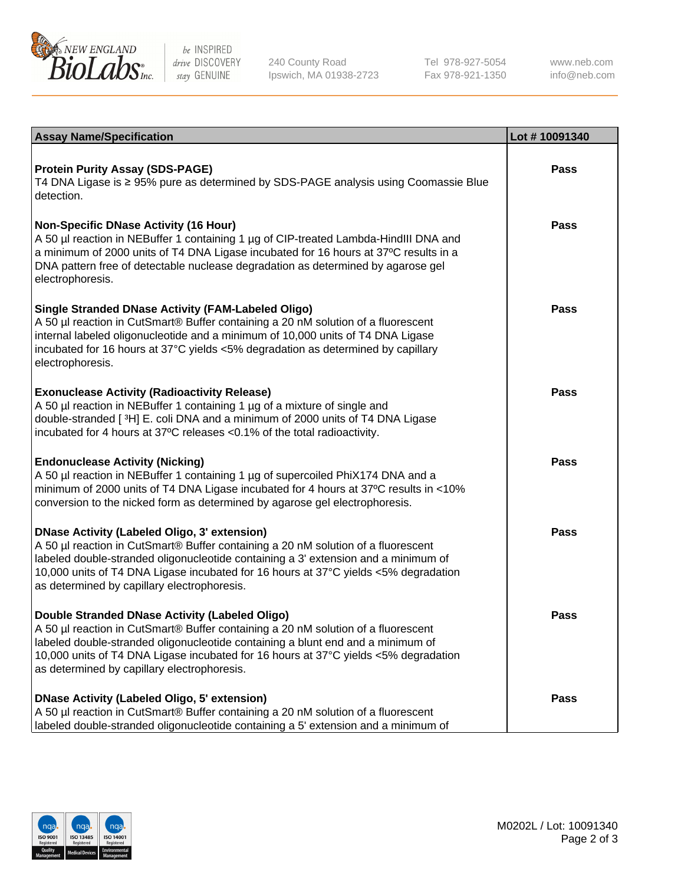

be INSPIRED drive DISCOVERY stay GENUINE

240 County Road Ipswich, MA 01938-2723 Tel 978-927-5054 Fax 978-921-1350

www.neb.com info@neb.com

| <b>Assay Name/Specification</b>                                                                                                                                                                                                                                                                                                                               | Lot #10091340 |
|---------------------------------------------------------------------------------------------------------------------------------------------------------------------------------------------------------------------------------------------------------------------------------------------------------------------------------------------------------------|---------------|
| <b>Protein Purity Assay (SDS-PAGE)</b><br>T4 DNA Ligase is ≥ 95% pure as determined by SDS-PAGE analysis using Coomassie Blue<br>detection.                                                                                                                                                                                                                   | <b>Pass</b>   |
| <b>Non-Specific DNase Activity (16 Hour)</b><br>A 50 µl reaction in NEBuffer 1 containing 1 µg of CIP-treated Lambda-HindIII DNA and<br>a minimum of 2000 units of T4 DNA Ligase incubated for 16 hours at 37°C results in a<br>DNA pattern free of detectable nuclease degradation as determined by agarose gel<br>electrophoresis.                          | <b>Pass</b>   |
| Single Stranded DNase Activity (FAM-Labeled Oligo)<br>A 50 µl reaction in CutSmart® Buffer containing a 20 nM solution of a fluorescent<br>internal labeled oligonucleotide and a minimum of 10,000 units of T4 DNA Ligase<br>incubated for 16 hours at 37°C yields <5% degradation as determined by capillary<br>electrophoresis.                            | <b>Pass</b>   |
| <b>Exonuclease Activity (Radioactivity Release)</b><br>A 50 µl reaction in NEBuffer 1 containing 1 µg of a mixture of single and<br>double-stranded [3H] E. coli DNA and a minimum of 2000 units of T4 DNA Ligase<br>incubated for 4 hours at 37°C releases <0.1% of the total radioactivity.                                                                 | <b>Pass</b>   |
| <b>Endonuclease Activity (Nicking)</b><br>A 50 µl reaction in NEBuffer 1 containing 1 µg of supercoiled PhiX174 DNA and a<br>minimum of 2000 units of T4 DNA Ligase incubated for 4 hours at 37°C results in <10%<br>conversion to the nicked form as determined by agarose gel electrophoresis.                                                              | <b>Pass</b>   |
| DNase Activity (Labeled Oligo, 3' extension)<br>A 50 µl reaction in CutSmart® Buffer containing a 20 nM solution of a fluorescent<br>labeled double-stranded oligonucleotide containing a 3' extension and a minimum of<br>10,000 units of T4 DNA Ligase incubated for 16 hours at 37°C yields <5% degradation<br>as determined by capillary electrophoresis. | <b>Pass</b>   |
| Double Stranded DNase Activity (Labeled Oligo)<br>A 50 µl reaction in CutSmart® Buffer containing a 20 nM solution of a fluorescent<br>labeled double-stranded oligonucleotide containing a blunt end and a minimum of<br>10,000 units of T4 DNA Ligase incubated for 16 hours at 37°C yields <5% degradation<br>as determined by capillary electrophoresis.  | <b>Pass</b>   |
| DNase Activity (Labeled Oligo, 5' extension)<br>A 50 µl reaction in CutSmart® Buffer containing a 20 nM solution of a fluorescent<br>Iabeled double-stranded oligonucleotide containing a 5' extension and a minimum of                                                                                                                                       | <b>Pass</b>   |